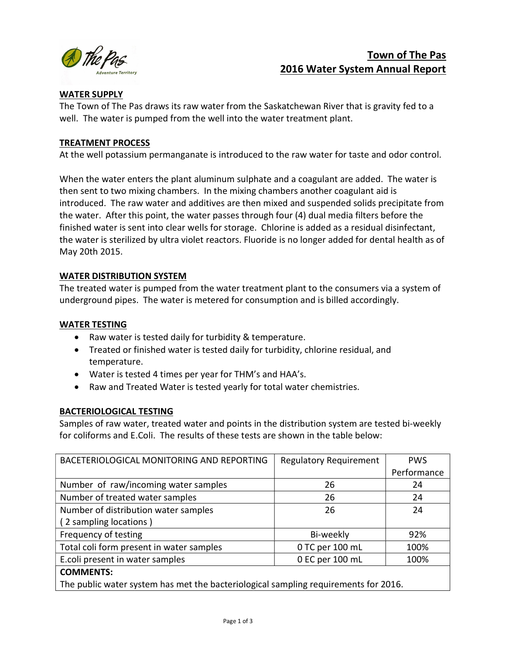

# Town of The Pas 2016 Water System Annual Report

# WATER SUPPLY

The Town of The Pas draws its raw water from the Saskatchewan River that is gravity fed to a well. The water is pumped from the well into the water treatment plant.

## TREATMENT PROCESS

At the well potassium permanganate is introduced to the raw water for taste and odor control.

When the water enters the plant aluminum sulphate and a coagulant are added. The water is then sent to two mixing chambers. In the mixing chambers another coagulant aid is introduced. The raw water and additives are then mixed and suspended solids precipitate from the water. After this point, the water passes through four (4) dual media filters before the finished water is sent into clear wells for storage. Chlorine is added as a residual disinfectant, the water is sterilized by ultra violet reactors. Fluoride is no longer added for dental health as of May 20th 2015.

# WATER DISTRIBUTION SYSTEM

The treated water is pumped from the water treatment plant to the consumers via a system of underground pipes. The water is metered for consumption and is billed accordingly.

## WATER TESTING

- Raw water is tested daily for turbidity & temperature.
- Treated or finished water is tested daily for turbidity, chlorine residual, and temperature.
- Water is tested 4 times per year for THM's and HAA's.
- Raw and Treated Water is tested yearly for total water chemistries.

# BACTERIOLOGICAL TESTING

Samples of raw water, treated water and points in the distribution system are tested bi-weekly for coliforms and E.Coli. The results of these tests are shown in the table below:

| BACETERIOLOGICAL MONITORING AND REPORTING                                           | <b>Regulatory Requirement</b> | <b>PWS</b>  |  |  |
|-------------------------------------------------------------------------------------|-------------------------------|-------------|--|--|
|                                                                                     |                               | Performance |  |  |
| Number of raw/incoming water samples                                                | 26                            | 24          |  |  |
| Number of treated water samples                                                     | 26                            | 24          |  |  |
| Number of distribution water samples                                                | 26                            | 24          |  |  |
| (2 sampling locations)                                                              |                               |             |  |  |
| Frequency of testing                                                                | Bi-weekly                     | 92%         |  |  |
| Total coli form present in water samples                                            | 0 TC per 100 mL               | 100%        |  |  |
| E.coli present in water samples                                                     | 0 EC per 100 mL               | 100%        |  |  |
| <b>COMMENTS:</b>                                                                    |                               |             |  |  |
| The public water system has met the bacteriological sampling requirements for 2016. |                               |             |  |  |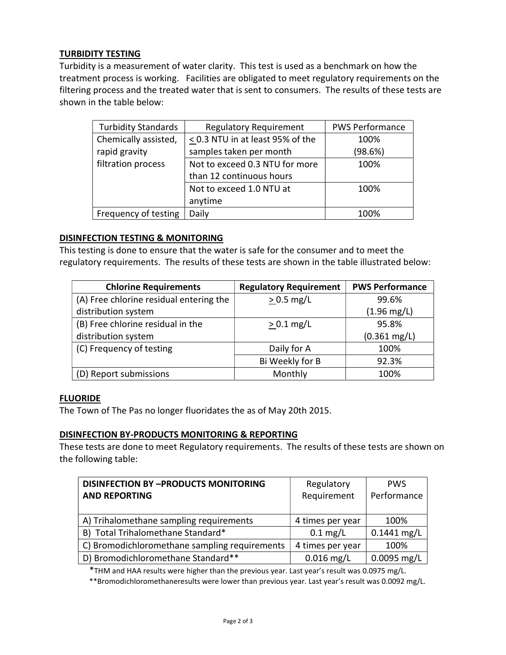# TURBIDITY TESTING

Turbidity is a measurement of water clarity. This test is used as a benchmark on how the treatment process is working. Facilities are obligated to meet regulatory requirements on the filtering process and the treated water that is sent to consumers. The results of these tests are shown in the table below:

| <b>Turbidity Standards</b> | <b>Regulatory Requirement</b>         | <b>PWS Performance</b> |
|----------------------------|---------------------------------------|------------------------|
| Chemically assisted,       | $\leq$ 0.3 NTU in at least 95% of the | 100%                   |
| rapid gravity              | samples taken per month               | (98.6%)                |
| filtration process         | Not to exceed 0.3 NTU for more        | 100%                   |
|                            | than 12 continuous hours              |                        |
|                            | Not to exceed 1.0 NTU at              | 100%                   |
|                            | anytime                               |                        |
| Frequency of testing       | Daily                                 | 100%                   |

#### DISINFECTION TESTING & MONITORING

This testing is done to ensure that the water is safe for the consumer and to meet the regulatory requirements. The results of these tests are shown in the table illustrated below:

| <b>Chlorine Requirements</b>            | <b>Regulatory Requirement</b> | <b>PWS Performance</b> |
|-----------------------------------------|-------------------------------|------------------------|
| (A) Free chlorine residual entering the | $> 0.5$ mg/L                  | 99.6%                  |
| distribution system                     |                               | $(1.96 \text{ mg/L})$  |
| (B) Free chlorine residual in the       | $> 0.1$ mg/L                  | 95.8%                  |
| distribution system                     |                               | $(0.361 \text{ mg/L})$ |
| (C) Frequency of testing                | Daily for A                   | 100%                   |
|                                         | Bi Weekly for B               | 92.3%                  |
| (D) Report submissions                  | Monthly                       | 100%                   |

#### **FLUORIDE**

The Town of The Pas no longer fluoridates the as of May 20th 2015.

#### DISINFECTION BY-PRODUCTS MONITORING & REPORTING

These tests are done to meet Regulatory requirements. The results of these tests are shown on the following table:

| <b>DISINFECTION BY -PRODUCTS MONITORING</b>   | Regulatory         | <b>PWS</b>    |
|-----------------------------------------------|--------------------|---------------|
| <b>AND REPORTING</b>                          | Requirement        | Performance   |
|                                               |                    |               |
| A) Trihalomethane sampling requirements       | 4 times per year   | 100%          |
| B) Total Trihalomethane Standard*             | $0.1 \text{ mg/L}$ | $0.1441$ mg/L |
| C) Bromodichloromethane sampling requirements | 4 times per year   | 100%          |
| D) Bromodichloromethane Standard**            | $0.016$ mg/L       | $0.0095$ mg/L |

\*THM and HAA results were higher than the previous year. Last year's result was 0.0975 mg/L.

\*\*Bromodichloromethaneresults were lower than previous year. Last year's result was 0.0092 mg/L.